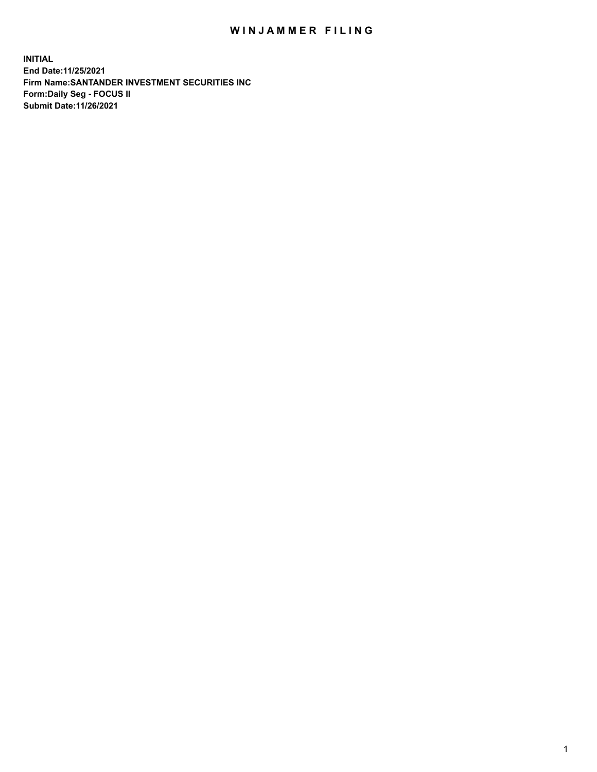## WIN JAMMER FILING

**INITIAL End Date:11/25/2021 Firm Name:SANTANDER INVESTMENT SECURITIES INC Form:Daily Seg - FOCUS II Submit Date:11/26/2021**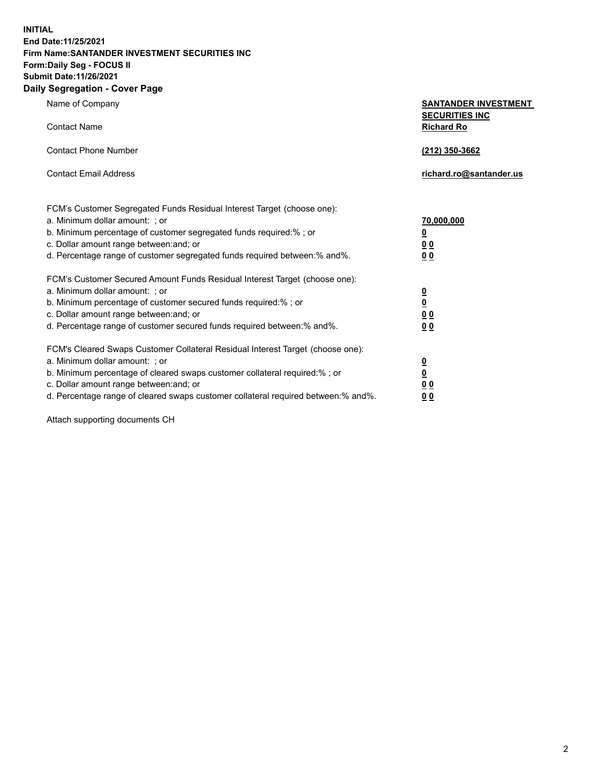**INITIAL End Date:11/25/2021 Firm Name:SANTANDER INVESTMENT SECURITIES INC Form:Daily Seg - FOCUS II Submit Date:11/26/2021 Daily Segregation - Cover Page**

| $\gamma$ ocgi cganon - oo $\gamma$ or - ago                                       |                                                      |
|-----------------------------------------------------------------------------------|------------------------------------------------------|
| Name of Company                                                                   | <b>SANTANDER INVESTMENT</b><br><b>SECURITIES INC</b> |
| <b>Contact Name</b>                                                               | <b>Richard Ro</b>                                    |
| <b>Contact Phone Number</b>                                                       | (212) 350-3662                                       |
| <b>Contact Email Address</b>                                                      | richard.ro@santander.us                              |
| FCM's Customer Segregated Funds Residual Interest Target (choose one):            |                                                      |
| a. Minimum dollar amount: ; or                                                    | 70,000,000                                           |
| b. Minimum percentage of customer segregated funds required:%; or                 | <u>0</u>                                             |
| c. Dollar amount range between: and; or                                           | 00                                                   |
| d. Percentage range of customer segregated funds required between:% and%.         | 0 <sub>0</sub>                                       |
| FCM's Customer Secured Amount Funds Residual Interest Target (choose one):        |                                                      |
| a. Minimum dollar amount: ; or                                                    | $\frac{0}{0}$                                        |
| b. Minimum percentage of customer secured funds required:%; or                    |                                                      |
| c. Dollar amount range between: and; or                                           | 0 <sub>0</sub>                                       |
| d. Percentage range of customer secured funds required between: % and %.          | 0 <sub>0</sub>                                       |
| FCM's Cleared Swaps Customer Collateral Residual Interest Target (choose one):    |                                                      |
| a. Minimum dollar amount: ; or                                                    | $\frac{0}{0}$                                        |
| b. Minimum percentage of cleared swaps customer collateral required:% ; or        |                                                      |
| c. Dollar amount range between: and; or                                           | 0 <sub>0</sub>                                       |
| d. Percentage range of cleared swaps customer collateral required between:% and%. | 0 <sub>0</sub>                                       |

Attach supporting documents CH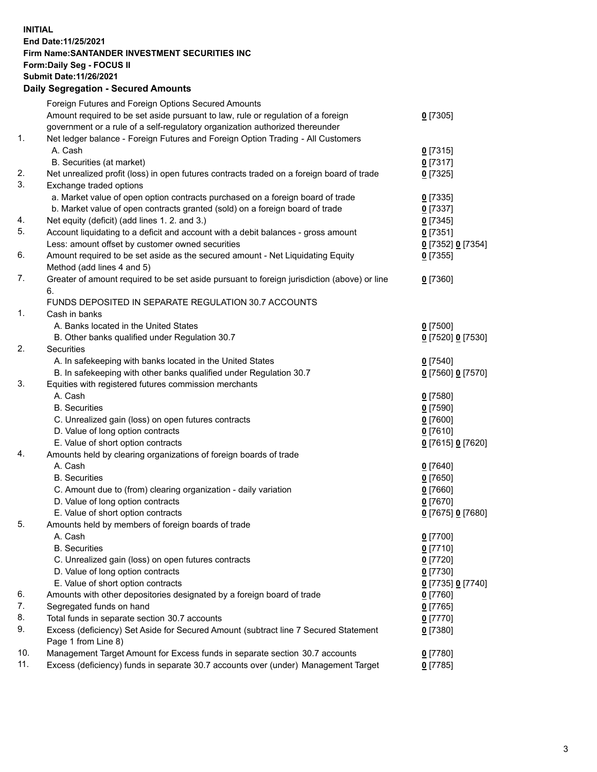## **INITIAL End Date:11/25/2021 Firm Name:SANTANDER INVESTMENT SECURITIES INC Form:Daily Seg - FOCUS II Submit Date:11/26/2021 Daily Segregation - Secured Amounts**

|     | Foreign Futures and Foreign Options Secured Amounts                                         |                   |
|-----|---------------------------------------------------------------------------------------------|-------------------|
|     | Amount required to be set aside pursuant to law, rule or regulation of a foreign            | $0$ [7305]        |
|     | government or a rule of a self-regulatory organization authorized thereunder                |                   |
| 1.  | Net ledger balance - Foreign Futures and Foreign Option Trading - All Customers             |                   |
|     | A. Cash                                                                                     | $0$ [7315]        |
|     | B. Securities (at market)                                                                   | $0$ [7317]        |
| 2.  | Net unrealized profit (loss) in open futures contracts traded on a foreign board of trade   | $0$ [7325]        |
| 3.  | Exchange traded options                                                                     |                   |
|     | a. Market value of open option contracts purchased on a foreign board of trade              | $0$ [7335]        |
|     | b. Market value of open contracts granted (sold) on a foreign board of trade                | $0$ [7337]        |
| 4.  | Net equity (deficit) (add lines 1. 2. and 3.)                                               | $0$ [7345]        |
| 5.  | Account liquidating to a deficit and account with a debit balances - gross amount           | $0$ [7351]        |
|     | Less: amount offset by customer owned securities                                            | 0 [7352] 0 [7354] |
| 6.  | Amount required to be set aside as the secured amount - Net Liquidating Equity              | $0$ [7355]        |
|     | Method (add lines 4 and 5)                                                                  |                   |
| 7.  | Greater of amount required to be set aside pursuant to foreign jurisdiction (above) or line | $0$ [7360]        |
|     | 6.                                                                                          |                   |
|     | FUNDS DEPOSITED IN SEPARATE REGULATION 30.7 ACCOUNTS                                        |                   |
| 1.  | Cash in banks                                                                               |                   |
|     | A. Banks located in the United States                                                       | $0$ [7500]        |
|     | B. Other banks qualified under Regulation 30.7                                              | 0 [7520] 0 [7530] |
| 2.  | Securities                                                                                  |                   |
|     | A. In safekeeping with banks located in the United States                                   | $0$ [7540]        |
|     | B. In safekeeping with other banks qualified under Regulation 30.7                          | 0 [7560] 0 [7570] |
| 3.  | Equities with registered futures commission merchants                                       |                   |
|     | A. Cash                                                                                     | $0$ [7580]        |
|     | <b>B.</b> Securities                                                                        | $0$ [7590]        |
|     | C. Unrealized gain (loss) on open futures contracts                                         | $0$ [7600]        |
|     | D. Value of long option contracts                                                           | $0$ [7610]        |
|     | E. Value of short option contracts                                                          | 0 [7615] 0 [7620] |
| 4.  | Amounts held by clearing organizations of foreign boards of trade                           |                   |
|     | A. Cash                                                                                     | $0$ [7640]        |
|     | <b>B.</b> Securities                                                                        | $0$ [7650]        |
|     | C. Amount due to (from) clearing organization - daily variation                             | $0$ [7660]        |
|     | D. Value of long option contracts                                                           | $0$ [7670]        |
|     | E. Value of short option contracts                                                          | 0 [7675] 0 [7680] |
| 5.  | Amounts held by members of foreign boards of trade                                          |                   |
|     | A. Cash                                                                                     | $0$ [7700]        |
|     | <b>B.</b> Securities                                                                        | $0$ [7710]        |
|     | C. Unrealized gain (loss) on open futures contracts                                         | $0$ [7720]        |
|     | D. Value of long option contracts                                                           | $0$ [7730]        |
|     | E. Value of short option contracts                                                          | 0 [7735] 0 [7740] |
| 6.  | Amounts with other depositories designated by a foreign board of trade                      | 0 [7760]          |
| 7.  | Segregated funds on hand                                                                    | $0$ [7765]        |
| 8.  | Total funds in separate section 30.7 accounts                                               | 0 [7770]          |
| 9.  | Excess (deficiency) Set Aside for Secured Amount (subtract line 7 Secured Statement         | 0 [7380]          |
|     | Page 1 from Line 8)                                                                         |                   |
| 10. | Management Target Amount for Excess funds in separate section 30.7 accounts                 | 0 [7780]          |
| 11. | Excess (deficiency) funds in separate 30.7 accounts over (under) Management Target          | $0$ [7785]        |
|     |                                                                                             |                   |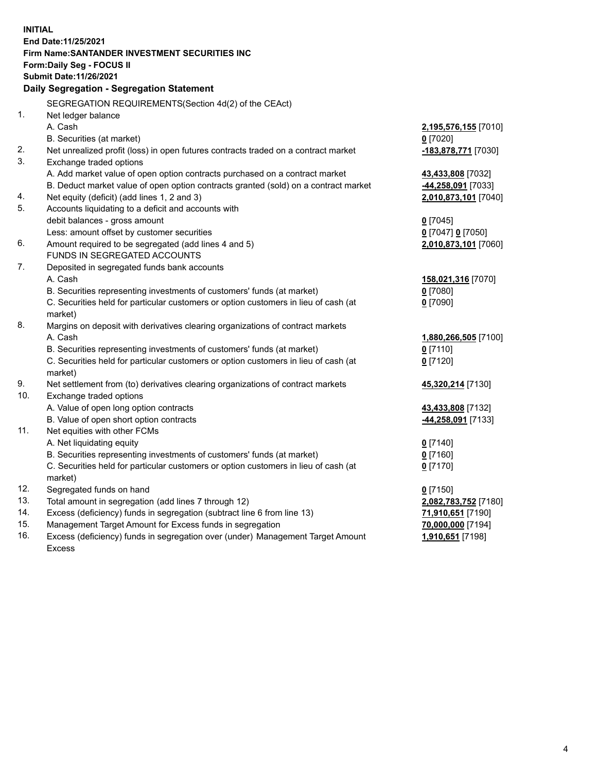| <b>INITIAL</b> |                                                                                     |                      |  |  |  |  |
|----------------|-------------------------------------------------------------------------------------|----------------------|--|--|--|--|
|                | End Date: 11/25/2021                                                                |                      |  |  |  |  |
|                | Firm Name: SANTANDER INVESTMENT SECURITIES INC                                      |                      |  |  |  |  |
|                | Form: Daily Seg - FOCUS II                                                          |                      |  |  |  |  |
|                | <b>Submit Date: 11/26/2021</b>                                                      |                      |  |  |  |  |
|                | Daily Segregation - Segregation Statement                                           |                      |  |  |  |  |
|                | SEGREGATION REQUIREMENTS(Section 4d(2) of the CEAct)                                |                      |  |  |  |  |
| 1.             | Net ledger balance                                                                  |                      |  |  |  |  |
|                | A. Cash                                                                             | 2,195,576,155 [7010] |  |  |  |  |
|                | B. Securities (at market)                                                           | $0$ [7020]           |  |  |  |  |
| 2.             | Net unrealized profit (loss) in open futures contracts traded on a contract market  | -183,878,771 [7030]  |  |  |  |  |
| 3.             | Exchange traded options                                                             |                      |  |  |  |  |
|                | A. Add market value of open option contracts purchased on a contract market         | 43,433,808 [7032]    |  |  |  |  |
|                | B. Deduct market value of open option contracts granted (sold) on a contract market | 44,258,091 [7033]    |  |  |  |  |
| 4.             | Net equity (deficit) (add lines 1, 2 and 3)                                         | 2,010,873,101 [7040] |  |  |  |  |
| 5.             | Accounts liquidating to a deficit and accounts with                                 |                      |  |  |  |  |
|                | debit balances - gross amount                                                       | $0$ [7045]           |  |  |  |  |
|                | Less: amount offset by customer securities                                          | 0 [7047] 0 [7050]    |  |  |  |  |
| 6.             | Amount required to be segregated (add lines 4 and 5)                                | 2,010,873,101 [7060] |  |  |  |  |
|                | <b>FUNDS IN SEGREGATED ACCOUNTS</b>                                                 |                      |  |  |  |  |
| 7.             | Deposited in segregated funds bank accounts                                         |                      |  |  |  |  |
|                | A. Cash                                                                             | 158,021,316 [7070]   |  |  |  |  |
|                | B. Securities representing investments of customers' funds (at market)              | $0$ [7080]           |  |  |  |  |
|                | C. Securities held for particular customers or option customers in lieu of cash (at | $0$ [7090]           |  |  |  |  |
|                | market)                                                                             |                      |  |  |  |  |
| 8.             | Margins on deposit with derivatives clearing organizations of contract markets      |                      |  |  |  |  |
|                | A. Cash                                                                             | 1,880,266,505 [7100] |  |  |  |  |
|                | B. Securities representing investments of customers' funds (at market)              | $0$ [7110]           |  |  |  |  |
|                | C. Securities held for particular customers or option customers in lieu of cash (at | $0$ [7120]           |  |  |  |  |
|                | market)                                                                             |                      |  |  |  |  |
| 9.             | Net settlement from (to) derivatives clearing organizations of contract markets     | 45,320,214 [7130]    |  |  |  |  |
| 10.            | Exchange traded options<br>A. Value of open long option contracts                   |                      |  |  |  |  |
|                | B. Value of open short option contracts                                             | 43,433,808 [7132]    |  |  |  |  |
| 11.            | Net equities with other FCMs                                                        | 44,258,091 [7133]    |  |  |  |  |
|                | A. Net liquidating equity                                                           | $0$ [7140]           |  |  |  |  |
|                | B. Securities representing investments of customers' funds (at market)              | $0$ [7160]           |  |  |  |  |
|                | C. Securities held for particular customers or option customers in lieu of cash (at | $0$ [7170]           |  |  |  |  |
|                | market)                                                                             |                      |  |  |  |  |
| 12.            | Segregated funds on hand                                                            | $0$ [7150]           |  |  |  |  |
| 13.            | Total amount in segregation (add lines 7 through 12)                                | 2,082,783,752 [7180] |  |  |  |  |
| 14.            | Excess (deficiency) funds in segregation (subtract line 6 from line 13)             | 71,910,651 [7190]    |  |  |  |  |
| 15.            | Management Target Amount for Excess funds in segregation                            | 70,000,000 [7194]    |  |  |  |  |
| 16.            | Excess (deficiency) funds in segregation over (under) Management Target Amount      | 1,910,651 [7198]     |  |  |  |  |
|                | <b>Excess</b>                                                                       |                      |  |  |  |  |